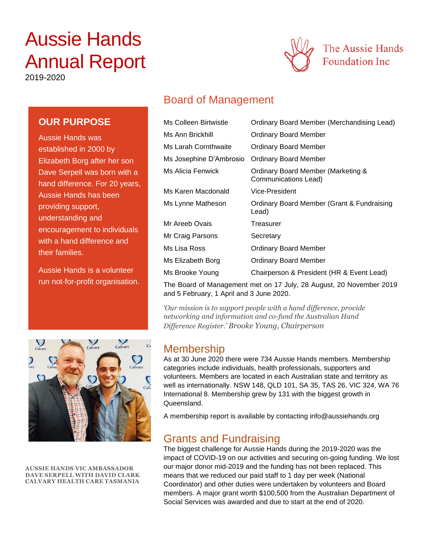# Aussie Hands Annual Report





# Board of Management

| Ms Colleen Birtwistle   | Ordinary Board Member (Merchandising Lead)                 |  |
|-------------------------|------------------------------------------------------------|--|
| Ms Ann Brickhill        | Ordinary Board Member                                      |  |
| Ms Larah Cornthwaite    | Ordinary Board Member                                      |  |
| Ms Josephine D'Ambrosio | <b>Ordinary Board Member</b>                               |  |
| Ms Alicia Fenwick       | Ordinary Board Member (Marketing &<br>Communications Lead) |  |
| Ms Karen Macdonald      | Vice-President                                             |  |
| Ms Lynne Matheson       | Ordinary Board Member (Grant & Fundraising<br>Lead)        |  |
| Mr Areeb Ovais          | Treasurer                                                  |  |
| Mr Craig Parsons        | Secretary                                                  |  |
| Ms Lisa Ross            | Ordinary Board Member                                      |  |
| Ms Elizabeth Borg       | Ordinary Board Member                                      |  |
| Ms Brooke Young         | Chairperson & President (HR & Event Lead)                  |  |

The Board of Management met on 17 July, 28 August, 20 November 2019 and 5 February, 1 April and 3 June 2020.

*'Our mission is to support people with a hand difference, provide networking and information and co-fund the Australian Hand Difference Register.' Brooke Young, Chairperson*

### Membership

As at 30 June 2020 there were 734 Aussie Hands members. Membership categories include individuals, health professionals, supporters and volunteers. Members are located in each Australian state and territory as well as internationally. NSW 148, QLD 101, SA 35, TAS 26, VIC 324, WA 76 International 8. Membership grew by 131 with the biggest growth in Queensland.

A membership report is available by contacting info@aussiehands.org

### Grants and Fundraising

The biggest challenge for Aussie Hands during the 2019-2020 was the impact of COVID-19 on our activities and securing on-going funding. We lost our major donor mid-2019 and the funding has not been replaced. This means that we reduced our paid staff to 1 day per week (National Coordinator) and other duties were undertaken by volunteers and Board members. A major grant worth \$100,500 from the Australian Department of Social Services was awarded and due to start at the end of 2020.

**OUR PURPOSE**

Aussie Hands was established in 2000 by Elizabeth Borg after her son Dave Serpell was born with a hand difference. For 20 years, Aussie Hands has been providing support, understanding and encouragement to individuals with a hand difference and their families.

Aussie Hands is a volunteer run not-for-profit organisation.



**AUSSIE HANDS VIC AMBASSADOR DAVE SERPELL WITH DAVID CLARK CALVARY HEALTH CARE TASMANIA**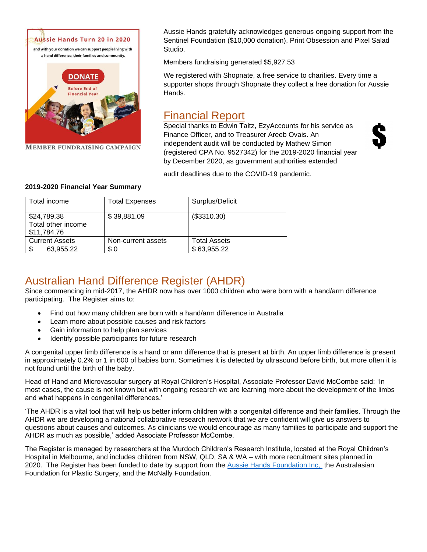

**MEMBER FUNDRAISING CAMPAIGN** 

Aussie Hands gratefully acknowledges generous ongoing support from the Sentinel Foundation (\$10,000 donation), Print Obsession and Pixel Salad Studio.

Members fundraising generated \$5,927.53

We registered with Shopnate, a free service to charities. Every time a supporter shops through Shopnate they collect a free donation for Aussie Hands.

# Financial Report

Special thanks to Edwin Taitz, EzyAccounts for his service as Finance Officer, and to Treasurer Areeb Ovais. An independent audit will be conducted by Mathew Simon (registered CPA No. 9527342) for the 2019-2020 financial year by December 2020, as government authorities extended



audit deadlines due to the COVID-19 pandemic.

| Total income                                     | <b>Total Expenses</b> | Surplus/Deficit     |
|--------------------------------------------------|-----------------------|---------------------|
| \$24,789.38<br>Total other income<br>\$11,784.76 | \$39,881.09           | (\$3310.30)         |
| <b>Current Assets</b>                            | Non-current assets    | <b>Total Assets</b> |
| \$.<br>63.955.22                                 | \$0                   | \$63,955.22         |

#### **2019-2020 Financial Year Summary**

# Australian Hand Difference Register (AHDR)

Since commencing in mid-2017, the AHDR now has over 1000 children who were born with a hand/arm difference participating. The Register aims to:

- Find out how many children are born with a hand/arm difference in Australia
- Learn more about possible causes and risk factors
- Gain information to help plan services
- Identify possible participants for future research

A congenital upper limb difference is a hand or arm difference that is present at birth. An upper limb difference is present in approximately 0.2% or 1 in 600 of babies born. Sometimes it is detected by ultrasound before birth, but more often it is not found until the birth of the baby.

Head of Hand and Microvascular surgery at Royal Children's Hospital, Associate Professor David McCombe said: 'In most cases, the cause is not known but with ongoing research we are learning more about the development of the limbs and what happens in congenital differences.'

'The AHDR is a vital tool that will help us better inform children with a congenital difference and their families. Through the AHDR we are developing a national collaborative research network that we are confident will give us answers to questions about causes and outcomes. As clinicians we would encourage as many families to participate and support the AHDR as much as possible,' added Associate Professor McCombe.

The Register is managed by researchers at the Murdoch Children's Research Institute, located at the Royal Children's Hospital in Melbourne, and includes children from NSW, QLD, SA & WA – with more recruitment sites planned in 2020. The Register has been funded to date by support from the [Aussie Hands Foundation Inc,](http://www.aussiehands.org/) the Australasian Foundation for Plastic Surgery, and the McNally Foundation.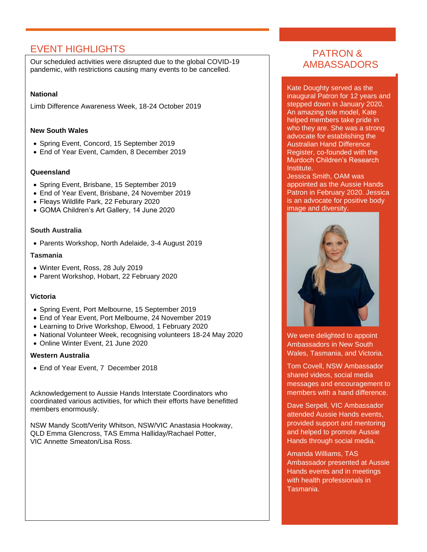### EVENT HIGHLIGHTS

Our scheduled activities were disrupted due to the global COVID-19 pandemic, with restrictions causing many events to be cancelled.

#### **National**

Limb Difference Awareness Week, 18-24 October 2019

#### **New South Wales**

- Spring Event, Concord, 15 September 2019
- End of Year Event, Camden, 8 December 2019

#### **Queensland**

- Spring Event, Brisbane, 15 September 2019
- End of Year Event, Brisbane, 24 November 2019
- Fleays Wildlife Park, 22 Feburary 2020
- GOMA Children's Art Gallery, 14 June 2020

#### **South Australia**

• Parents Workshop, North Adelaide, 3-4 August 2019

#### **Tasmania**

- Winter Event, Ross, 28 July 2019
- Parent Workshop, Hobart, 22 February 2020

#### **Victoria**

- Spring Event, Port Melbourne, 15 September 2019
- End of Year Event, Port Melbourne, 24 November 2019
- Learning to Drive Workshop, Elwood, 1 February 2020
- National Volunteer Week, recognising volunteers 18-24 May 2020
- Online Winter Event, 21 June 2020

#### **Western Australia**

• End of Year Event, 7 December 2018

Acknowledgement to Aussie Hands Interstate Coordinators who coordinated various activities, for which their efforts have benefitted members enormously.

NSW Mandy Scott/Verity Whitson, NSW/VIC Anastasia Hookway, QLD Emma Glencross, TAS Emma Halliday/Rachael Potter, VIC Annette Smeaton/Lisa Ross.

### PATRON & AMBASSADORS

Kate Doughty served as the inaugural Patron for 12 years and stepped down in January 2020. An amazing role model, Kate helped members take pride in who they are. She was a strong advocate for establishing the Australian Hand Difference Register, co-founded with the Murdoch Children's Research Institute.

Jessica Smith, OAM was appointed as the Aussie Hands Patron in February 2020. Jessica is an advocate for positive body image and diversity.



We were delighted to appoint Ambassadors in New South Wales, Tasmania, and Victoria.

Tom Covell, NSW Ambassador shared videos, social media messages and encouragement to members with a hand difference.

Dave Serpell, VIC Ambassador attended Aussie Hands events, provided support and mentoring and helped to promote Aussie Hands through social media.

Amanda Williams, TAS Ambassador presented at Aussie Hands events and in meetings with health professionals in Tasmania.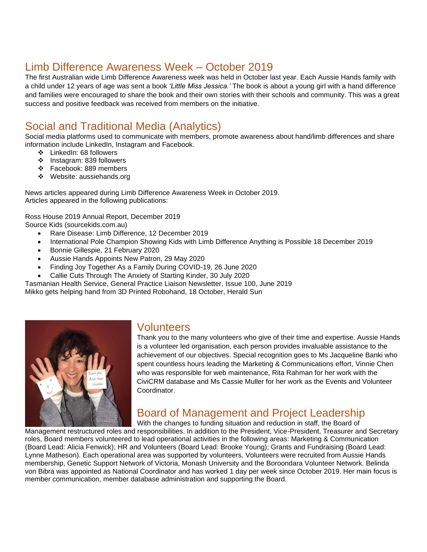# Limb Difference Awareness Week – October 2019

The first Australian wide Limb Difference Awareness week was held in October last year. Each Aussie Hands family with a child under 12 years of age was sent a book *'Little Miss Jessica.'* The book is about a young girl with a hand difference and families were encouraged to share the book and their own stories with their schools and community. This was a great success and positive feedback was received from members on the initiative.

# Social and Traditional Media (Analytics)

Social media platforms used to communicate with members, promote awareness about hand/limb differences and share information include LinkedIn, Instagram and Facebook.

- ❖ LinkedIn: 68 followers
- ❖ Instagram: 839 followers
- ❖ Facebook: 889 members
- ❖ Website: aussiehands.org

News articles appeared during Limb Difference Awareness Week in October 2019. Articles appeared in the following publications:

Ross House 2019 Annual Report, December 2019 Source Kids (sourcekids.com.au)

- Rare Disease: Limb Difference, 12 December 2019
- International Pole Champion Showing Kids with Limb Difference Anything is Possible 18 December 2019
- Bonnie Gillespie, 21 February 2020
- Aussie Hands Appoints New Patron, 29 May 2020
- Finding Joy Together As a Family During COVID-19, 26 June 2020
- Callie Cuts Through The Anxiety of Starting Kinder, 30 July 2020

Tasmanian Health Service, General Practice Liaison Newsletter, Issue 100, June 2019

Mikko gets helping hand from 3D Printed Robohand, 18 October, Herald Sun



### Volunteers

Thank you to the many volunteers who give of their time and expertise. Aussie Hands is a volunteer led organisation, each person provides invaluable assistance to the achievement of our objectives. Special recognition goes to Ms Jacqueline Banki who spent countless hours leading the Marketing & Communications effort, Vinnie Chen who was responsible for web maintenance, Rita Rahman for her work with the CiviCRM database and Ms Cassie Muller for her work as the Events and Volunteer **Coordinator** 

# Board of Management and Project Leadership

With the changes to funding situation and reduction in staff, the Board of Management restructured roles and responsibilities. In addition to the President, Vice-President, Treasurer and Secretary roles, Board members volunteered to lead operational activities in the following areas: Marketing & Communication (Board Lead: Alicia Fenwick); HR and Volunteers (Board Lead: Brooke Young); Grants and Fundraising (Board Lead: Lynne Matheson). Each operational area was supported by volunteers. Volunteers were recruited from Aussie Hands membership, Genetic Support Network of Victoria, Monash University and the Boroondara Volunteer Network. Belinda von Bibra was appointed as National Coordinator and has worked 1 day per week since October 2019. Her main focus is member communication, member database administration and supporting the Board.